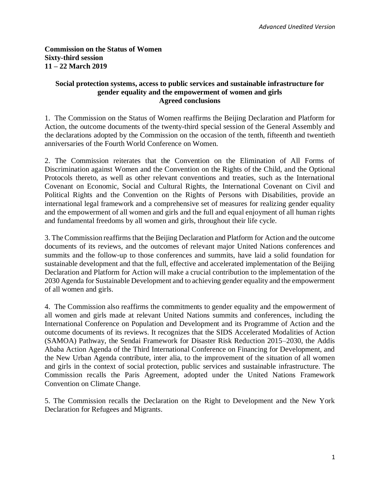## **Commission on the Status of Women Sixty-third session 11 – 22 March 2019**

#### **Social protection systems, access to public services and sustainable infrastructure for gender equality and the empowerment of women and girls Agreed conclusions**

1. The Commission on the Status of Women reaffirms the Beijing Declaration and Platform for Action, the outcome documents of the twenty-third special session of the General Assembly and the declarations adopted by the Commission on the occasion of the tenth, fifteenth and twentieth anniversaries of the Fourth World Conference on Women.

2. The Commission reiterates that the Convention on the Elimination of All Forms of Discrimination against Women and the Convention on the Rights of the Child, and the Optional Protocols thereto, as well as other relevant conventions and treaties, such as the International Covenant on Economic, Social and Cultural Rights, the International Covenant on Civil and Political Rights and the Convention on the Rights of Persons with Disabilities, provide an international legal framework and a comprehensive set of measures for realizing gender equality and the empowerment of all women and girls and the full and equal enjoyment of all human rights and fundamental freedoms by all women and girls, throughout their life cycle.

3. The Commission reaffirms that the Beijing Declaration and Platform for Action and the outcome documents of its reviews, and the outcomes of relevant major United Nations conferences and summits and the follow-up to those conferences and summits, have laid a solid foundation for sustainable development and that the full, effective and accelerated implementation of the Beijing Declaration and Platform for Action will make a crucial contribution to the implementation of the 2030 Agenda for Sustainable Development and to achieving gender equality and the empowerment of all women and girls.

4. The Commission also reaffirms the commitments to gender equality and the empowerment of all women and girls made at relevant United Nations summits and conferences, including the International Conference on Population and Development and its Programme of Action and the outcome documents of its reviews. It recognizes that the SIDS Accelerated Modalities of Action (SAMOA) Pathway, the Sendai Framework for Disaster Risk Reduction 2015–2030, the Addis Ababa Action Agenda of the Third International Conference on Financing for Development, and the New Urban Agenda contribute, inter alia, to the improvement of the situation of all women and girls in the context of social protection, public services and sustainable infrastructure. The Commission recalls the Paris Agreement, adopted under the United Nations Framework Convention on Climate Change.

5. The Commission recalls the Declaration on the Right to Development and the New York Declaration for Refugees and Migrants.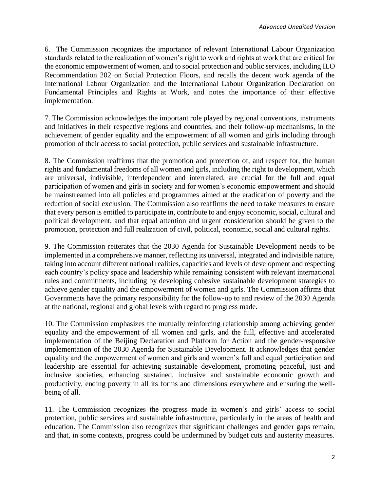6. The Commission recognizes the importance of relevant International Labour Organization standards related to the realization of women's right to work and rights at work that are critical for the economic empowerment of women, and to social protection and public services, including ILO Recommendation 202 on Social Protection Floors, and recalls the decent work agenda of the International Labour Organization and the International Labour Organization Declaration on Fundamental Principles and Rights at Work, and notes the importance of their effective implementation.

7. The Commission acknowledges the important role played by regional conventions, instruments and initiatives in their respective regions and countries, and their follow-up mechanisms, in the achievement of gender equality and the empowerment of all women and girls including through promotion of their access to social protection, public services and sustainable infrastructure.

8. The Commission reaffirms that the promotion and protection of, and respect for, the human rights and fundamental freedoms of all women and girls, including the right to development, which are universal, indivisible, interdependent and interrelated, are crucial for the full and equal participation of women and girls in society and for women's economic empowerment and should be mainstreamed into all policies and programmes aimed at the eradication of poverty and the reduction of social exclusion. The Commission also reaffirms the need to take measures to ensure that every person is entitled to participate in, contribute to and enjoy economic, social, cultural and political development, and that equal attention and urgent consideration should be given to the promotion, protection and full realization of civil, political, economic, social and cultural rights.

 9. The Commission reiterates that the 2030 Agenda for Sustainable Development needs to be implemented in a comprehensive manner, reflecting its universal, integrated and indivisible nature, taking into account different national realities, capacities and levels of development and respecting each country's policy space and leadership while remaining consistent with relevant international rules and commitments, including by developing cohesive sustainable development strategies to achieve gender equality and the empowerment of women and girls. The Commission affirms that Governments have the primary responsibility for the follow-up to and review of the 2030 Agenda at the national, regional and global levels with regard to progress made.

10. The Commission emphasizes the mutually reinforcing relationship among achieving gender equality and the empowerment of all women and girls, and the full, effective and accelerated implementation of the Beijing Declaration and Platform for Action and the gender-responsive implementation of the 2030 Agenda for Sustainable Development. It acknowledges that gender equality and the empowerment of women and girls and women's full and equal participation and leadership are essential for achieving sustainable development, promoting peaceful, just and inclusive societies, enhancing sustained, inclusive and sustainable economic growth and productivity, ending poverty in all its forms and dimensions everywhere and ensuring the wellbeing of all.

 11. The Commission recognizes the progress made in women's and girls' access to social protection, public services and sustainable infrastructure, particularly in the areas of health and education. The Commission also recognizes that significant challenges and gender gaps remain, and that, in some contexts, progress could be undermined by budget cuts and austerity measures.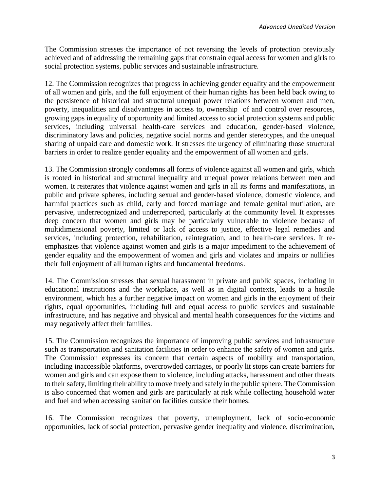The Commission stresses the importance of not reversing the levels of protection previously achieved and of addressing the remaining gaps that constrain equal access for women and girls to social protection systems, public services and sustainable infrastructure.

 12. The Commission recognizes that progress in achieving gender equality and the empowerment of all women and girls, and the full enjoyment of their human rights has been held back owing to the persistence of historical and structural unequal power relations between women and men, poverty, inequalities and disadvantages in access to, ownership of and control over resources, growing gaps in equality of opportunity and limited access to social protection systems and public services, including universal health-care services and education, gender-based violence, discriminatory laws and policies, negative social norms and gender stereotypes, and the unequal sharing of unpaid care and domestic work. It stresses the urgency of eliminating those structural barriers in order to realize gender equality and the empowerment of all women and girls.

 13. The Commission strongly condemns all forms of violence against all women and girls, which is rooted in historical and structural inequality and unequal power relations between men and women. It reiterates that violence against women and girls in all its forms and manifestations, in public and private spheres, including sexual and gender-based violence, domestic violence, and harmful practices such as child, early and forced marriage and female genital mutilation, are pervasive, underrecognized and underreported, particularly at the community level. It expresses deep concern that women and girls may be particularly vulnerable to violence because of multidimensional poverty, limited or lack of access to justice, effective legal remedies and services, including protection, rehabilitation, reintegration, and to health-care services. It reemphasizes that violence against women and girls is a major impediment to the achievement of gender equality and the empowerment of women and girls and violates and impairs or nullifies their full enjoyment of all human rights and fundamental freedoms.

14. The Commission stresses that sexual harassment in private and public spaces, including in educational institutions and the workplace, as well as in digital contexts, leads to a hostile environment, which has a further negative impact on women and girls in the enjoyment of their rights, equal opportunities, including full and equal access to public services and sustainable infrastructure, and has negative and physical and mental health consequences for the victims and may negatively affect their families.

15. The Commission recognizes the importance of improving public services and infrastructure such as transportation and sanitation facilities in order to enhance the safety of women and girls. The Commission expresses its concern that certain aspects of mobility and transportation, including inaccessible platforms, overcrowded carriages, or poorly lit stops can create barriers for women and girls and can expose them to violence, including attacks, harassment and other threats to their safety, limiting their ability to move freely and safely in the public sphere. The Commission is also concerned that women and girls are particularly at risk while collecting household water and fuel and when accessing sanitation facilities outside their homes.

16. The Commission recognizes that poverty, unemployment, lack of socio-economic opportunities, lack of social protection, pervasive gender inequality and violence, discrimination,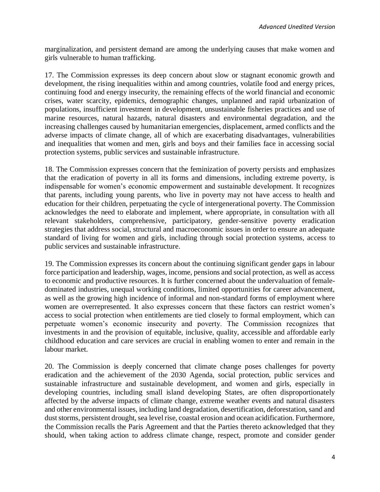marginalization, and persistent demand are among the underlying causes that make women and girls vulnerable to human trafficking.

17. The Commission expresses its deep concern about slow or stagnant economic growth and development, the rising inequalities within and among countries, volatile food and energy prices, continuing food and energy insecurity, the remaining effects of the world financial and economic crises, water scarcity, epidemics, demographic changes, unplanned and rapid urbanization of populations, insufficient investment in development, unsustainable fisheries practices and use of marine resources, natural hazards, natural disasters and environmental degradation, and the increasing challenges caused by humanitarian emergencies, displacement, armed conflicts and the adverse impacts of climate change, all of which are exacerbating disadvantages, vulnerabilities and inequalities that women and men, girls and boys and their families face in accessing social protection systems, public services and sustainable infrastructure.

18. The Commission expresses concern that the feminization of poverty persists and emphasizes that the eradication of poverty in all its forms and dimensions, including extreme poverty, is indispensable for women's economic empowerment and sustainable development. It recognizes that parents, including young parents, who live in poverty may not have access to health and education for their children, perpetuating the cycle of intergenerational poverty. The Commission acknowledges the need to elaborate and implement, where appropriate, in consultation with all relevant stakeholders, comprehensive, participatory, gender-sensitive poverty eradication strategies that address social, structural and macroeconomic issues in order to ensure an adequate standard of living for women and girls, including through social protection systems, access to public services and sustainable infrastructure.

 19. The Commission expresses its concern about the continuing significant gender gaps in labour force participation and leadership, wages, income, pensions and social protection, as well as access to economic and productive resources. It is further concerned about the undervaluation of femaledominated industries, unequal working conditions, limited opportunities for career advancement, as well as the growing high incidence of informal and non-standard forms of employment where women are overrepresented. It also expresses concern that these factors can restrict women's access to social protection when entitlements are tied closely to formal employment, which can perpetuate women's economic insecurity and poverty. The Commission recognizes that investments in and the provision of equitable, inclusive, quality, accessible and affordable early childhood education and care services are crucial in enabling women to enter and remain in the labour market.

 20. The Commission is deeply concerned that climate change poses challenges for poverty eradication and the achievement of the 2030 Agenda, social protection, public services and sustainable infrastructure and sustainable development, and women and girls, especially in developing countries, including small island developing States, are often disproportionately affected by the adverse impacts of climate change, extreme weather events and natural disasters and other environmental issues, including land degradation, desertification, deforestation, sand and dust storms, persistent drought, sea level rise, coastal erosion and ocean acidification. Furthermore, the Commission recalls the Paris Agreement and that the Parties thereto acknowledged that they should, when taking action to address climate change, respect, promote and consider gender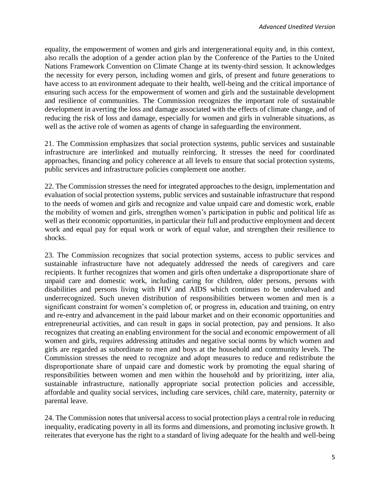equality, the empowerment of women and girls and intergenerational equity and, in this context, also recalls the adoption of a gender action plan by the Conference of the Parties to the United Nations Framework Convention on Climate Change at its twenty-third session. It acknowledges the necessity for every person, including women and girls, of present and future generations to have access to an environment adequate to their health, well-being and the critical importance of ensuring such access for the empowerment of women and girls and the sustainable development and resilience of communities. The Commission recognizes the important role of sustainable development in averting the loss and damage associated with the effects of climate change, and of reducing the risk of loss and damage, especially for women and girls in vulnerable situations, as well as the active role of women as agents of change in safeguarding the environment.

21. The Commission emphasizes that social protection systems, public services and sustainable infrastructure are interlinked and mutually reinforcing. It stresses the need for coordinated approaches, financing and policy coherence at all levels to ensure that social protection systems, public services and infrastructure policies complement one another.

22. The Commission stresses the need for integrated approaches to the design, implementation and evaluation of social protection systems, public services and sustainable infrastructure that respond to the needs of women and girls and recognize and value unpaid care and domestic work, enable the mobility of women and girls, strengthen women's participation in public and political life as well as their economic opportunities, in particular their full and productive employment and decent work and equal pay for equal work or work of equal value, and strengthen their resilience to shocks.

 23. The Commission recognizes that social protection systems, access to public services and sustainable infrastructure have not adequately addressed the needs of caregivers and care recipients. It further recognizes that women and girls often undertake a disproportionate share of unpaid care and domestic work, including caring for children, older persons, persons with disabilities and persons living with HIV and AIDS which continues to be undervalued and underrecognized. Such uneven distribution of responsibilities between women and men is a significant constraint for women's completion of, or progress in, education and training, on entry and re-entry and advancement in the paid labour market and on their economic opportunities and entrepreneurial activities, and can result in gaps in social protection, pay and pensions. It also recognizes that creating an enabling environment for the social and economic empowerment of all women and girls, requires addressing attitudes and negative social norms by which women and girls are regarded as subordinate to men and boys at the household and community levels. The Commission stresses the need to recognize and adopt measures to reduce and redistribute the disproportionate share of unpaid care and domestic work by promoting the equal sharing of responsibilities between women and men within the household and by prioritizing, inter alia, sustainable infrastructure, nationally appropriate social protection policies and accessible, affordable and quality social services, including care services, child care, maternity, paternity or parental leave.

24. The Commission notes that universal access to social protection plays a central role in reducing inequality, eradicating poverty in all its forms and dimensions, and promoting inclusive growth. It reiterates that everyone has the right to a standard of living adequate for the health and well-being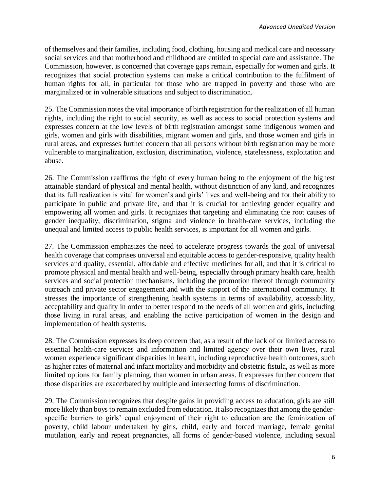of themselves and their families, including food, clothing, housing and medical care and necessary social services and that motherhood and childhood are entitled to special care and assistance. The Commission, however, is concerned that coverage gaps remain, especially for women and girls. It recognizes that social protection systems can make a critical contribution to the fulfilment of human rights for all, in particular for those who are trapped in poverty and those who are marginalized or in vulnerable situations and subject to discrimination.

 25. The Commission notes the vital importance of birth registration for the realization of all human rights, including the right to social security, as well as access to social protection systems and expresses concern at the low levels of birth registration amongst some indigenous women and girls, women and girls with disabilities, migrant women and girls, and those women and girls in rural areas, and expresses further concern that all persons without birth registration may be more vulnerable to marginalization, exclusion, discrimination, violence, statelessness, exploitation and abuse.

 26. The Commission reaffirms the right of every human being to the enjoyment of the highest attainable standard of physical and mental health, without distinction of any kind, and recognizes that its full realization is vital for women's and girls' lives and well-being and for their ability to participate in public and private life, and that it is crucial for achieving gender equality and empowering all women and girls. It recognizes that targeting and eliminating the root causes of gender inequality, discrimination, stigma and violence in health-care services, including the unequal and limited access to public health services, is important for all women and girls.

27. The Commission emphasizes the need to accelerate progress towards the goal of universal health coverage that comprises universal and equitable access to gender-responsive, quality health services and quality, essential, affordable and effective medicines for all, and that it is critical to promote physical and mental health and well-being, especially through primary health care, health services and social protection mechanisms, including the promotion thereof through community outreach and private sector engagement and with the support of the international community. It stresses the importance of strengthening health systems in terms of availability, accessibility, acceptability and quality in order to better respond to the needs of all women and girls, including those living in rural areas, and enabling the active participation of women in the design and implementation of health systems.

28. The Commission expresses its deep concern that, as a result of the lack of or limited access to essential health-care services and information and limited agency over their own lives, rural women experience significant disparities in health, including reproductive health outcomes, such as higher rates of maternal and infant mortality and morbidity and obstetric fistula, as well as more limited options for family planning, than women in urban areas. It expresses further concern that those disparities are exacerbated by multiple and intersecting forms of discrimination.

29. The Commission recognizes that despite gains in providing access to education, girls are still more likely than boys to remain excluded from education. It also recognizes that among the genderspecific barriers to girls' equal enjoyment of their right to education are the feminization of poverty, child labour undertaken by girls, child, early and forced marriage, female genital mutilation, early and repeat pregnancies, all forms of gender-based violence, including sexual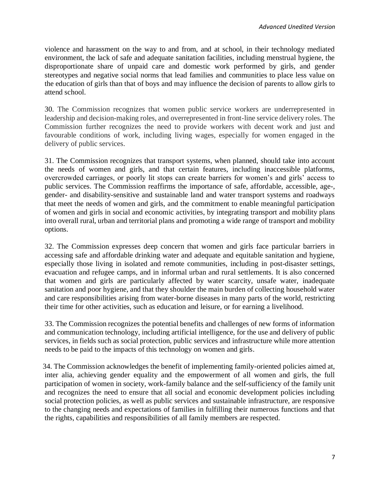violence and harassment on the way to and from, and at school, in their technology mediated environment, the lack of safe and adequate sanitation facilities, including menstrual hygiene, the disproportionate share of unpaid care and domestic work performed by girls, and gender stereotypes and negative social norms that lead families and communities to place less value on the education of girls than that of boys and may influence the decision of parents to allow girls to attend school.

30. The Commission recognizes that women public service workers are underrepresented in leadership and decision-making roles, and overrepresented in front-line service delivery roles. The Commission further recognizes the need to provide workers with decent work and just and favourable conditions of work, including living wages, especially for women engaged in the delivery of public services.

31. The Commission recognizes that transport systems, when planned, should take into account the needs of women and girls, and that certain features, including inaccessible platforms, overcrowded carriages, or poorly lit stops can create barriers for women's and girls' access to public services. The Commission reaffirms the importance of safe, affordable, accessible, age-, gender- and disability-sensitive and sustainable land and water transport systems and roadways that meet the needs of women and girls, and the commitment to enable meaningful participation of women and girls in social and economic activities, by integrating transport and mobility plans into overall rural, urban and territorial plans and promoting a wide range of transport and mobility options.

 32. The Commission expresses deep concern that women and girls face particular barriers in accessing safe and affordable drinking water and adequate and equitable sanitation and hygiene, especially those living in isolated and remote communities, including in post-disaster settings, evacuation and refugee camps, and in informal urban and rural settlements. It is also concerned that women and girls are particularly affected by water scarcity, unsafe water, inadequate sanitation and poor hygiene, and that they shoulder the main burden of collecting household water and care responsibilities arising from water-borne diseases in many parts of the world, restricting their time for other activities, such as education and leisure, or for earning a livelihood.

 33. The Commission recognizes the potential benefits and challenges of new forms of information and communication technology, including artificial intelligence, for the use and delivery of public services, in fields such as social protection, public services and infrastructure while more attention needs to be paid to the impacts of this technology on women and girls.

 34. The Commission acknowledges the benefit of implementing family-oriented policies aimed at, inter alia, achieving gender equality and the empowerment of all women and girls, the full participation of women in society, work-family balance and the self-sufficiency of the family unit and recognizes the need to ensure that all social and economic development policies including social protection policies, as well as public services and sustainable infrastructure, are responsive to the changing needs and expectations of families in fulfilling their numerous functions and that the rights, capabilities and responsibilities of all family members are respected.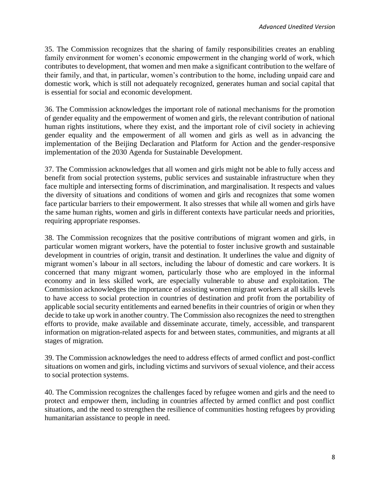35. The Commission recognizes that the sharing of family responsibilities creates an enabling family environment for women's economic empowerment in the changing world of work, which contributes to development, that women and men make a significant contribution to the welfare of their family, and that, in particular, women's contribution to the home, including unpaid care and domestic work, which is still not adequately recognized, generates human and social capital that is essential for social and economic development.

36. The Commission acknowledges the important role of national mechanisms for the promotion of gender equality and the empowerment of women and girls, the relevant contribution of national human rights institutions, where they exist, and the important role of civil society in achieving gender equality and the empowerment of all women and girls as well as in advancing the implementation of the Beijing Declaration and Platform for Action and the gender-responsive implementation of the 2030 Agenda for Sustainable Development.

37. The Commission acknowledges that all women and girls might not be able to fully access and benefit from social protection systems, public services and sustainable infrastructure when they face multiple and intersecting forms of discrimination, and marginalisation. It respects and values the diversity of situations and conditions of women and girls and recognizes that some women face particular barriers to their empowerment. It also stresses that while all women and girls have the same human rights, women and girls in different contexts have particular needs and priorities, requiring appropriate responses.

38. The Commission recognizes that the positive contributions of migrant women and girls, in particular women migrant workers, have the potential to foster inclusive growth and sustainable development in countries of origin, transit and destination. It underlines the value and dignity of migrant women's labour in all sectors, including the labour of domestic and care workers. It is concerned that many migrant women, particularly those who are employed in the informal economy and in less skilled work, are especially vulnerable to abuse and exploitation. The Commission acknowledges the importance of assisting women migrant workers at all skills levels to have access to social protection in countries of destination and profit from the portability of applicable social security entitlements and earned benefits in their countries of origin or when they decide to take up work in another country. The Commission also recognizes the need to strengthen efforts to provide, make available and disseminate accurate, timely, accessible, and transparent information on migration-related aspects for and between states, communities, and migrants at all stages of migration.

 39. The Commission acknowledges the need to address effects of armed conflict and post-conflict situations on women and girls, including victims and survivors of sexual violence, and their access to social protection systems.

40. The Commission recognizes the challenges faced by refugee women and girls and the need to protect and empower them, including in countries affected by armed conflict and post conflict situations, and the need to strengthen the resilience of communities hosting refugees by providing humanitarian assistance to people in need.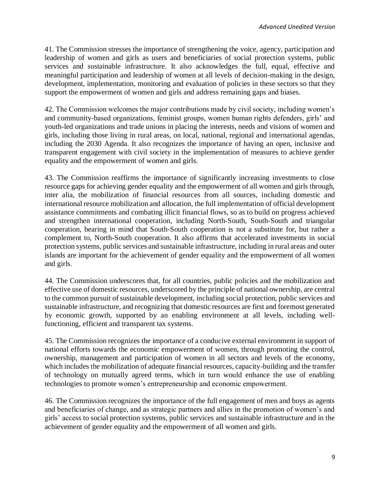41. The Commission stresses the importance of strengthening the voice, agency, participation and leadership of women and girls as users and beneficiaries of social protection systems, public services and sustainable infrastructure. It also acknowledges the full, equal, effective and meaningful participation and leadership of women at all levels of decision-making in the design, development, implementation, monitoring and evaluation of policies in these sectors so that they support the empowerment of women and girls and address remaining gaps and biases.

 42. The Commission welcomes the major contributions made by civil society, including women's and community-based organizations, feminist groups, women human rights defenders, girls' and youth-led organizations and trade unions in placing the interests, needs and visions of women and girls, including those living in rural areas, on local, national, regional and international agendas, including the 2030 Agenda. It also recognizes the importance of having an open, inclusive and transparent engagement with civil society in the implementation of measures to achieve gender equality and the empowerment of women and girls.

43. The Commission reaffirms the importance of significantly increasing investments to close resource gaps for achieving gender equality and the empowerment of all women and girls through, inter alia, the mobilization of financial resources from all sources, including domestic and international resource mobilization and allocation, the full implementation of official development assistance commitments and combating illicit financial flows, so as to build on progress achieved and strengthen international cooperation, including North-South, South-South and triangular cooperation, bearing in mind that South-South cooperation is not a substitute for, but rather a complement to, North-South cooperation. It also affirms that accelerated investments in social protection systems, public services and sustainable infrastructure, including in rural areas and outer islands are important for the achievement of gender equality and the empowerment of all women and girls.

44. The Commission underscores that, for all countries, public policies and the mobilization and effective use of domestic resources, underscored by the principle of national ownership, are central to the common pursuit of sustainable development, including social protection, public services and sustainable infrastructure, and recognizing that domestic resources are first and foremost generated by economic growth, supported by an enabling environment at all levels, including wellfunctioning, efficient and transparent tax systems.

45. The Commission recognizes the importance of a conducive external environment in support of national efforts towards the economic empowerment of women, through promoting the control, ownership, management and participation of women in all sectors and levels of the economy, which includes the mobilization of adequate financial resources, capacity-building and the transfer of technology on mutually agreed terms, which in turn would enhance the use of enabling technologies to promote women's entrepreneurship and economic empowerment.

46. The Commission recognizes the importance of the full engagement of men and boys as agents and beneficiaries of change, and as strategic partners and allies in the promotion of women's and girls' access to social protection systems, public services and sustainable infrastructure and in the achievement of gender equality and the empowerment of all women and girls.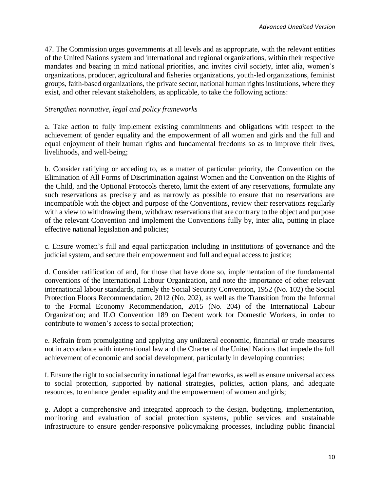47. The Commission urges governments at all levels and as appropriate, with the relevant entities of the United Nations system and international and regional organizations, within their respective mandates and bearing in mind national priorities, and invites civil society, inter alia, women's organizations, producer, agricultural and fisheries organizations, youth-led organizations, feminist groups, faith-based organizations, the private sector, national human rights institutions, where they exist, and other relevant stakeholders, as applicable, to take the following actions:

## *Strengthen normative, legal and policy frameworks*

a. Take action to fully implement existing commitments and obligations with respect to the achievement of gender equality and the empowerment of all women and girls and the full and equal enjoyment of their human rights and fundamental freedoms so as to improve their lives, livelihoods, and well-being;

b. Consider ratifying or acceding to, as a matter of particular priority, the Convention on the Elimination of All Forms of Discrimination against Women and the Convention on the Rights of the Child, and the Optional Protocols thereto, limit the extent of any reservations, formulate any such reservations as precisely and as narrowly as possible to ensure that no reservations are incompatible with the object and purpose of the Conventions, review their reservations regularly with a view to withdrawing them, withdraw reservations that are contrary to the object and purpose of the relevant Convention and implement the Conventions fully by, inter alia, putting in place effective national legislation and policies;

c. Ensure women's full and equal participation including in institutions of governance and the judicial system, and secure their empowerment and full and equal access to justice;

d. Consider ratification of and, for those that have done so, implementation of the fundamental conventions of the International Labour Organization, and note the importance of other relevant international labour standards, namely the Social Security Convention, 1952 (No. 102) the Social Protection Floors Recommendation, 2012 (No. 202), as well as the Transition from the Informal to the Formal Economy Recommendation, 2015 (No. 204) of the International Labour Organization; and ILO Convention 189 on Decent work for Domestic Workers, in order to contribute to women's access to social protection;

e. Refrain from promulgating and applying any unilateral economic, financial or trade measures not in accordance with international law and the Charter of the United Nations that impede the full achievement of economic and social development, particularly in developing countries;

f. Ensure the right to social security in national legal frameworks, as well as ensure universal access to social protection, supported by national strategies, policies, action plans, and adequate resources, to enhance gender equality and the empowerment of women and girls;

g. Adopt a comprehensive and integrated approach to the design, budgeting, implementation, monitoring and evaluation of social protection systems, public services and sustainable infrastructure to ensure gender-responsive policymaking processes, including public financial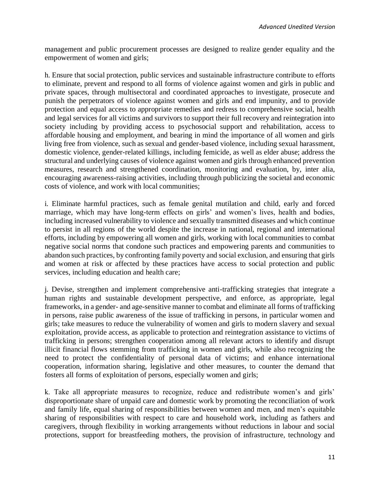management and public procurement processes are designed to realize gender equality and the empowerment of women and girls;

h. Ensure that social protection, public services and sustainable infrastructure contribute to efforts to eliminate, prevent and respond to all forms of violence against women and girls in public and private spaces, through multisectoral and coordinated approaches to investigate, prosecute and punish the perpetrators of violence against women and girls and end impunity, and to provide protection and equal access to appropriate remedies and redress to comprehensive social, health and legal services for all victims and survivors to support their full recovery and reintegration into society including by providing access to psychosocial support and rehabilitation, access to affordable housing and employment, and bearing in mind the importance of all women and girls living free from violence, such as sexual and gender-based violence, including sexual harassment, domestic violence, gender-related killings, including femicide, as well as elder abuse; address the structural and underlying causes of violence against women and girls through enhanced prevention measures, research and strengthened coordination, monitoring and evaluation, by, inter alia, encouraging awareness-raising activities, including through publicizing the societal and economic costs of violence, and work with local communities;

i. Eliminate harmful practices, such as female genital mutilation and child, early and forced marriage, which may have long-term effects on girls' and women's lives, health and bodies, including increased vulnerability to violence and sexually transmitted diseases and which continue to persist in all regions of the world despite the increase in national, regional and international efforts, including by empowering all women and girls, working with local communities to combat negative social norms that condone such practices and empowering parents and communities to abandon such practices, by confronting family poverty and social exclusion, and ensuring that girls and women at risk or affected by these practices have access to social protection and public services, including education and health care;

j. Devise, strengthen and implement comprehensive anti-trafficking strategies that integrate a human rights and sustainable development perspective, and enforce, as appropriate, legal frameworks, in a gender- and age-sensitive manner to combat and eliminate all forms of trafficking in persons, raise public awareness of the issue of trafficking in persons, in particular women and girls; take measures to reduce the vulnerability of women and girls to modern slavery and sexual exploitation, provide access, as applicable to protection and reintegration assistance to victims of trafficking in persons; strengthen cooperation among all relevant actors to identify and disrupt illicit financial flows stemming from trafficking in women and girls, while also recognizing the need to protect the confidentiality of personal data of victims; and enhance international cooperation, information sharing, legislative and other measures, to counter the demand that fosters all forms of exploitation of persons, especially women and girls;

k. Take all appropriate measures to recognize, reduce and redistribute women's and girls' disproportionate share of unpaid care and domestic work by promoting the reconciliation of work and family life, equal sharing of responsibilities between women and men, and men's equitable sharing of responsibilities with respect to care and household work, including as fathers and caregivers, through flexibility in working arrangements without reductions in labour and social protections, support for breastfeeding mothers, the provision of infrastructure, technology and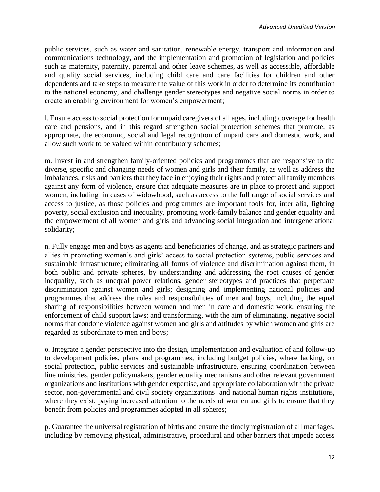public services, such as water and sanitation, renewable energy, transport and information and communications technology, and the implementation and promotion of legislation and policies such as maternity, paternity, parental and other leave schemes, as well as accessible, affordable and quality social services, including child care and care facilities for children and other dependents and take steps to measure the value of this work in order to determine its contribution to the national economy, and challenge gender stereotypes and negative social norms in order to create an enabling environment for women's empowerment;

l. Ensure access to social protection for unpaid caregivers of all ages, including coverage for health care and pensions, and in this regard strengthen social protection schemes that promote, as appropriate, the economic, social and legal recognition of unpaid care and domestic work, and allow such work to be valued within contributory schemes;

m. Invest in and strengthen family-oriented policies and programmes that are responsive to the diverse, specific and changing needs of women and girls and their family, as well as address the imbalances, risks and barriers that they face in enjoying their rights and protect all family members against any form of violence, ensure that adequate measures are in place to protect and support women, including in cases of widowhood, such as access to the full range of social services and access to justice, as those policies and programmes are important tools for, inter alia, fighting poverty, social exclusion and inequality, promoting work-family balance and gender equality and the empowerment of all women and girls and advancing social integration and intergenerational solidarity;

n. Fully engage men and boys as agents and beneficiaries of change, and as strategic partners and allies in promoting women's and girls' access to social protection systems, public services and sustainable infrastructure; eliminating all forms of violence and discrimination against them, in both public and private spheres, by understanding and addressing the root causes of gender inequality, such as unequal power relations, gender stereotypes and practices that perpetuate discrimination against women and girls; designing and implementing national policies and programmes that address the roles and responsibilities of men and boys, including the equal sharing of responsibilities between women and men in care and domestic work; ensuring the enforcement of child support laws; and transforming, with the aim of eliminating, negative social norms that condone violence against women and girls and attitudes by which women and girls are regarded as subordinate to men and boys;

o. Integrate a gender perspective into the design, implementation and evaluation of and follow-up to development policies, plans and programmes, including budget policies, where lacking, on social protection, public services and sustainable infrastructure, ensuring coordination between line ministries, gender policymakers, gender equality mechanisms and other relevant government organizations and institutions with gender expertise, and appropriate collaboration with the private sector, non-governmental and civil society organizations and national human rights institutions, where they exist, paying increased attention to the needs of women and girls to ensure that they benefit from policies and programmes adopted in all spheres;

p. Guarantee the universal registration of births and ensure the timely registration of all marriages, including by removing physical, administrative, procedural and other barriers that impede access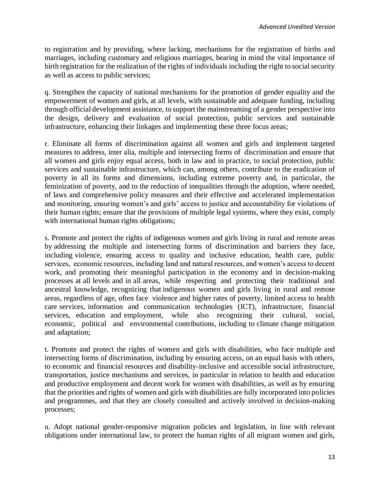to registration and by providing, where lacking, mechanisms for the registration of births and marriages, including customary and religious marriages, bearing in mind the vital importance of birth registration for the realization of the rights of individuals including the right to social security as well as access to public services;

q. Strengthen the capacity of national mechanisms for the promotion of gender equality and the empowerment of women and girls, at all levels, with sustainable and adequate funding, including through official development assistance, to support the mainstreaming of a gender perspective into the design, delivery and evaluation of social protection, public services and sustainable infrastructure, enhancing their linkages and implementing these three focus areas;

r. Eliminate all forms of discrimination against all women and girls and implement targeted measures to address, inter alia, multiple and intersecting forms of discrimination and ensure that all women and girls enjoy equal access, both in law and in practice, to social protection, public services and sustainable infrastructure, which can, among others, contribute to the eradication of poverty in all its forms and dimensions, including extreme poverty and, in particular, the feminization of poverty, and to the reduction of inequalities through the adoption, where needed, of laws and comprehensive policy measures and their effective and accelerated implementation and monitoring, ensuring women's and girls' access to justice and accountability for violations of their human rights; ensure that the provisions of multiple legal systems, where they exist, comply with international human rights obligations;

s. Promote and protect the rights of indigenous women and girls living in rural and remote areas by addressing the multiple and intersecting forms of discrimination and barriers they face, including violence, ensuring access to quality and inclusive education, health care, public services, economic resources, including land and natural resources, and women's access to decent work, and promoting their meaningful participation in the economy and in decision-making processes at all levels and in all areas, while respecting and protecting their traditional and ancestral knowledge, recognizing that indigenous women and girls living in rural and remote areas, regardless of age, often face violence and higher rates of poverty, limited access to health care services, information and communication technologies (ICT), infrastructure, financial services, education and employment, while also recognizing their cultural, social, economic, political and environmental contributions, including to climate change mitigation and adaptation;

t. Promote and protect the rights of women and girls with disabilities, who face multiple and intersecting forms of discrimination, including by ensuring access, on an equal basis with others, to economic and financial resources and disability-inclusive and accessible social infrastructure, transportation, justice mechanisms and services, in particular in relation to health and education and productive employment and decent work for women with disabilities, as well as by ensuring that the priorities and rights of women and girls with disabilities are fully incorporated into policies and programmes, and that they are closely consulted and actively involved in decision-making processes;

u. Adopt national gender-responsive migration policies and legislation, in line with relevant obligations under international law, to protect the human rights of all migrant women and girls,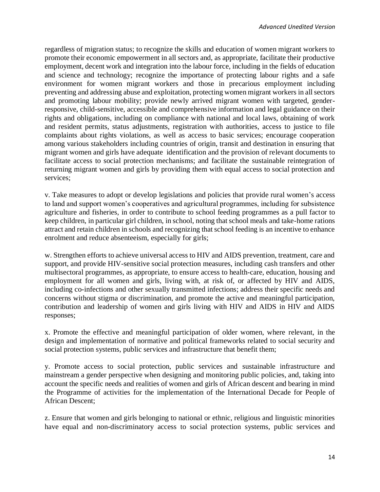regardless of migration status; to recognize the skills and education of women migrant workers to promote their economic empowerment in all sectors and, as appropriate, facilitate their productive employment, decent work and integration into the labour force, including in the fields of education and science and technology; recognize the importance of protecting labour rights and a safe environment for women migrant workers and those in precarious employment including preventing and addressing abuse and exploitation, protecting women migrant workers in all sectors and promoting labour mobility; provide newly arrived migrant women with targeted, genderresponsive, child-sensitive, accessible and comprehensive information and legal guidance on their rights and obligations, including on compliance with national and local laws, obtaining of work and resident permits, status adjustments, registration with authorities, access to justice to file complaints about rights violations, as well as access to basic services; encourage cooperation among various stakeholders including countries of origin, transit and destination in ensuring that migrant women and girls have adequate identification and the provision of relevant documents to facilitate access to social protection mechanisms; and facilitate the sustainable reintegration of returning migrant women and girls by providing them with equal access to social protection and services;

v. Take measures to adopt or develop legislations and policies that provide rural women's access to land and support women's cooperatives and agricultural programmes, including for subsistence agriculture and fisheries, in order to contribute to school feeding programmes as a pull factor to keep children, in particular girl children, in school, noting that school meals and take-home rations attract and retain children in schools and recognizing that school feeding is an incentive to enhance enrolment and reduce absenteeism, especially for girls;

w. Strengthen efforts to achieve universal access to HIV and AIDS prevention, treatment, care and support, and provide HIV-sensitive social protection measures, including cash transfers and other multisectoral programmes, as appropriate, to ensure access to health-care, education, housing and employment for all women and girls, living with, at risk of, or affected by HIV and AIDS, including co-infections and other sexually transmitted infections; address their specific needs and concerns without stigma or discrimination, and promote the active and meaningful participation, contribution and leadership of women and girls living with HIV and AIDS in HIV and AIDS responses;

x. Promote the effective and meaningful participation of older women, where relevant, in the design and implementation of normative and political frameworks related to social security and social protection systems, public services and infrastructure that benefit them;

y. Promote access to social protection, public services and sustainable infrastructure and mainstream a gender perspective when designing and monitoring public policies, and, taking into account the specific needs and realities of women and girls of African descent and bearing in mind the Programme of activities for the implementation of the International Decade for People of African Descent;

z. Ensure that women and girls belonging to national or ethnic, religious and linguistic minorities have equal and non-discriminatory access to social protection systems, public services and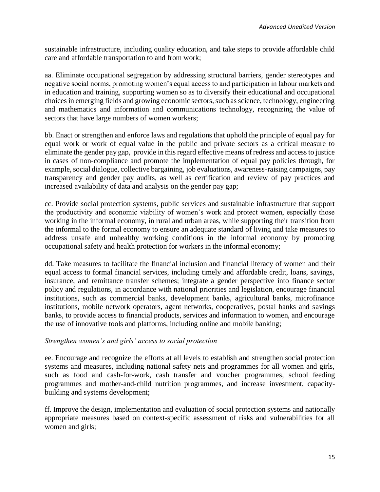sustainable infrastructure, including quality education, and take steps to provide affordable child care and affordable transportation to and from work;

aa. Eliminate occupational segregation by addressing structural barriers, gender stereotypes and negative social norms, promoting women's equal access to and participation in labour markets and in education and training, supporting women so as to diversify their educational and occupational choices in emerging fields and growing economic sectors, such as science, technology, engineering and mathematics and information and communications technology, recognizing the value of sectors that have large numbers of women workers;

bb. Enact or strengthen and enforce laws and regulations that uphold the principle of equal pay for equal work or work of equal value in the public and private sectors as a critical measure to eliminate the gender pay gap, provide in this regard effective means of redress and access to justice in cases of non-compliance and promote the implementation of equal pay policies through, for example, social dialogue, collective bargaining, job evaluations, awareness-raising campaigns, pay transparency and gender pay audits, as well as certification and review of pay practices and increased availability of data and analysis on the gender pay gap;

cc. Provide social protection systems, public services and sustainable infrastructure that support the productivity and economic viability of women's work and protect women, especially those working in the informal economy, in rural and urban areas, while supporting their transition from the informal to the formal economy to ensure an adequate standard of living and take measures to address unsafe and unhealthy working conditions in the informal economy by promoting occupational safety and health protection for workers in the informal economy;

dd. Take measures to facilitate the financial inclusion and financial literacy of women and their equal access to formal financial services, including timely and affordable credit, loans, savings, insurance, and remittance transfer schemes; integrate a gender perspective into finance sector policy and regulations, in accordance with national priorities and legislation, encourage financial institutions, such as commercial banks, development banks, agricultural banks, microfinance institutions, mobile network operators, agent networks, cooperatives, postal banks and savings banks, to provide access to financial products, services and information to women, and encourage the use of innovative tools and platforms, including online and mobile banking;

#### *Strengthen women's and girls' access to social protection*

ee. Encourage and recognize the efforts at all levels to establish and strengthen social protection systems and measures, including national safety nets and programmes for all women and girls, such as food and cash-for-work, cash transfer and voucher programmes, school feeding programmes and mother-and-child nutrition programmes, and increase investment, capacitybuilding and systems development;

ff. Improve the design, implementation and evaluation of social protection systems and nationally appropriate measures based on context-specific assessment of risks and vulnerabilities for all women and girls;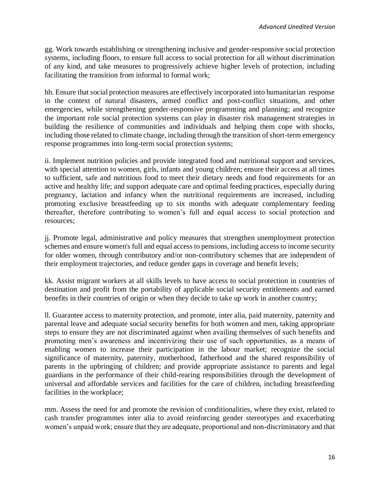gg. Work towards establishing or strengthening inclusive and gender-responsive social protection systems, including floors, to ensure full access to social protection for all without discrimination of any kind, and take measures to progressively achieve higher levels of protection, including facilitating the transition from informal to formal work;

hh. Ensure that social protection measures are effectively incorporated into humanitarian response in the context of natural disasters, armed conflict and post-conflict situations, and other emergencies, while strengthening gender-responsive programming and planning; and recognize the important role social protection systems can play in disaster risk management strategies in building the resilience of communities and individuals and helping them cope with shocks, including those related to climate change, including through the transition of short-term emergency response programmes into long-term social protection systems;

ii. Implement nutrition policies and provide integrated food and nutritional support and services, with special attention to women, girls, infants and young children; ensure their access at all times to sufficient, safe and nutritious food to meet their dietary needs and food requirements for an active and healthy life; and support adequate care and optimal feeding practices, especially during pregnancy, lactation and infancy when the nutritional requirements are increased, including promoting exclusive breastfeeding up to six months with adequate complementary feeding thereafter, therefore contributing to women's full and equal access to social protection and resources;

jj. Promote legal, administrative and policy measures that strengthen unemployment protection schemes and ensure women's full and equal access to pensions, including access to income security for older women, through contributory and/or non-contributory schemes that are independent of their employment trajectories, and reduce gender gaps in coverage and benefit levels;

kk. Assist migrant workers at all skills levels to have access to social protection in countries of destination and profit from the portability of applicable social security entitlements and earned benefits in their countries of origin or when they decide to take up work in another country;

ll. Guarantee access to maternity protection, and promote, inter alia, paid maternity, paternity and parental leave and adequate social security benefits for both women and men, taking appropriate steps to ensure they are not discriminated against when availing themselves of such benefits and promoting men's awareness and incentivizing their use of such opportunities, as a means of enabling women to increase their participation in the labour market; recognize the social significance of maternity, paternity, motherhood, fatherhood and the shared responsibility of parents in the upbringing of children; and provide appropriate assistance to parents and legal guardians in the performance of their child-rearing responsibilities through the development of universal and affordable services and facilities for the care of children, including breastfeeding facilities in the workplace;

mm. Assess the need for and promote the revision of conditionalities, where they exist, related to cash transfer programmes inter alia to avoid reinforcing gender stereotypes and exacerbating women's unpaid work; ensure that they are adequate, proportional and non-discriminatory and that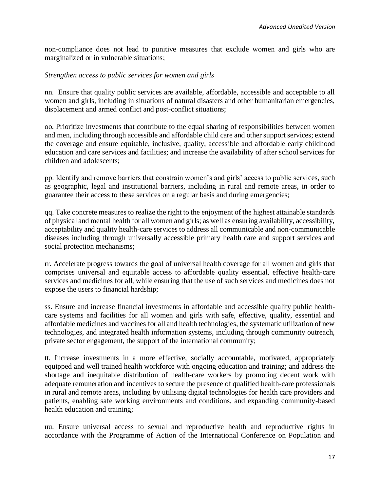non-compliance does not lead to punitive measures that exclude women and girls who are marginalized or in vulnerable situations;

#### *Strengthen access to public services for women and girls*

nn. Ensure that quality public services are available, affordable, accessible and acceptable to all women and girls, including in situations of natural disasters and other humanitarian emergencies, displacement and armed conflict and post-conflict situations;

oo. Prioritize investments that contribute to the equal sharing of responsibilities between women and men, including through accessible and affordable child care and other support services; extend the coverage and ensure equitable, inclusive, quality, accessible and affordable early childhood education and care services and facilities; and increase the availability of after school services for children and adolescents;

pp. Identify and remove barriers that constrain women's and girls' access to public services, such as geographic, legal and institutional barriers, including in rural and remote areas, in order to guarantee their access to these services on a regular basis and during emergencies;

qq. Take concrete measures to realize the right to the enjoyment of the highest attainable standards of physical and mental health for all women and girls; as well as ensuring availability, accessibility, acceptability and quality health-care services to address all communicable and non-communicable diseases including through universally accessible primary health care and support services and social protection mechanisms;

rr. Accelerate progress towards the goal of universal health coverage for all women and girls that comprises universal and equitable access to affordable quality essential, effective health-care services and medicines for all, while ensuring that the use of such services and medicines does not expose the users to financial hardship;

ss. Ensure and increase financial investments in affordable and accessible quality public healthcare systems and facilities for all women and girls with safe, effective, quality, essential and affordable medicines and vaccines for all and health technologies, the systematic utilization of new technologies, and integrated health information systems, including through community outreach, private sector engagement, the support of the international community;

tt. Increase investments in a more effective, socially accountable, motivated, appropriately equipped and well trained health workforce with ongoing education and training; and address the shortage and inequitable distribution of health-care workers by promoting decent work with adequate remuneration and incentives to secure the presence of qualified health-care professionals in rural and remote areas, including by utilising digital technologies for health care providers and patients, enabling safe working environments and conditions, and expanding community-based health education and training;

uu. Ensure universal access to sexual and reproductive health and reproductive rights in accordance with the Programme of Action of the International Conference on Population and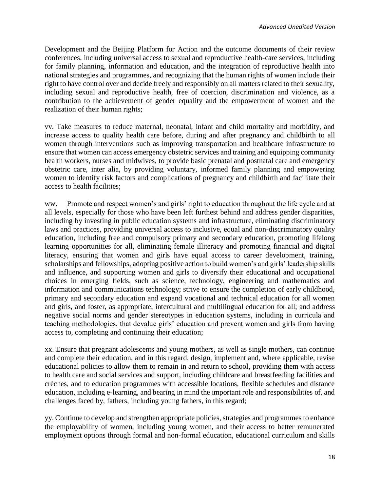Development and the Beijing Platform for Action and the outcome documents of their review conferences, including universal access to sexual and reproductive health-care services, including for family planning, information and education, and the integration of reproductive health into national strategies and programmes, and recognizing that the human rights of women include their right to have control over and decide freely and responsibly on all matters related to their sexuality, including sexual and reproductive health, free of coercion, discrimination and violence, as a contribution to the achievement of gender equality and the empowerment of women and the realization of their human rights;

vv. Take measures to reduce maternal, neonatal, infant and child mortality and morbidity, and increase access to quality health care before, during and after pregnancy and childbirth to all women through interventions such as improving transportation and healthcare infrastructure to ensure that women can access emergency obstetric services and training and equipping community health workers, nurses and midwives, to provide basic prenatal and postnatal care and emergency obstetric care, inter alia, by providing voluntary, informed family planning and empowering women to identify risk factors and complications of pregnancy and childbirth and facilitate their access to health facilities;

ww. Promote and respect women's and girls' right to education throughout the life cycle and at all levels, especially for those who have been left furthest behind and address gender disparities, including by investing in public education systems and infrastructure, eliminating discriminatory laws and practices, providing universal access to inclusive, equal and non-discriminatory quality education, including free and compulsory primary and secondary education, promoting lifelong learning opportunities for all, eliminating female illiteracy and promoting financial and digital literacy, ensuring that women and girls have equal access to career development, training, scholarships and fellowships, adopting positive action to build women's and girls' leadership skills and influence, and supporting women and girls to diversify their educational and occupational choices in emerging fields, such as science, technology, engineering and mathematics and information and communications technology; strive to ensure the completion of early childhood, primary and secondary education and expand vocational and technical education for all women and girls, and foster, as appropriate, intercultural and multilingual education for all; and address negative social norms and gender stereotypes in education systems, including in curricula and teaching methodologies, that devalue girls' education and prevent women and girls from having access to, completing and continuing their education;

xx. Ensure that pregnant adolescents and young mothers, as well as single mothers, can continue and complete their education, and in this regard, design, implement and, where applicable, revise educational policies to allow them to remain in and return to school, providing them with access to health care and social services and support, including childcare and breastfeeding facilities and crèches, and to education programmes with accessible locations, flexible schedules and distance education, including e-learning, and bearing in mind the important role and responsibilities of, and challenges faced by, fathers, including young fathers, in this regard;

yy. Continue to develop and strengthen appropriate policies, strategies and programmes to enhance the employability of women, including young women, and their access to better remunerated employment options through formal and non-formal education, educational curriculum and skills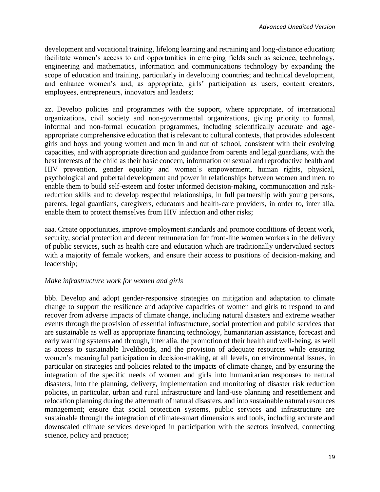development and vocational training, lifelong learning and retraining and long-distance education; facilitate women's access to and opportunities in emerging fields such as science, technology, engineering and mathematics, information and communications technology by expanding the scope of education and training, particularly in developing countries; and technical development, and enhance women's and, as appropriate, girls' participation as users, content creators, employees, entrepreneurs, innovators and leaders;

zz. Develop policies and programmes with the support, where appropriate, of international organizations, civil society and non-governmental organizations, giving priority to formal, informal and non-formal education programmes, including scientifically accurate and ageappropriate comprehensive education that is relevant to cultural contexts, that provides adolescent girls and boys and young women and men in and out of school, consistent with their evolving capacities, and with appropriate direction and guidance from parents and legal guardians, with the best interests of the child as their basic concern, information on sexual and reproductive health and HIV prevention, gender equality and women's empowerment, human rights, physical, psychological and pubertal development and power in relationships between women and men, to enable them to build self-esteem and foster informed decision-making, communication and riskreduction skills and to develop respectful relationships, in full partnership with young persons, parents, legal guardians, caregivers, educators and health-care providers, in order to, inter alia, enable them to protect themselves from HIV infection and other risks;

aaa. Create opportunities, improve employment standards and promote conditions of decent work, security, social protection and decent remuneration for front-line women workers in the delivery of public services, such as health care and education which are traditionally undervalued sectors with a majority of female workers, and ensure their access to positions of decision-making and leadership;

# *Make infrastructure work for women and girls*

bbb. Develop and adopt gender-responsive strategies on mitigation and adaptation to climate change to support the resilience and adaptive capacities of women and girls to respond to and recover from adverse impacts of climate change, including natural disasters and extreme weather events through the provision of essential infrastructure, social protection and public services that are sustainable as well as appropriate financing technology, humanitarian assistance, forecast and early warning systems and through, inter alia, the promotion of their health and well-being, as well as access to sustainable livelihoods, and the provision of adequate resources while ensuring women's meaningful participation in decision-making, at all levels, on environmental issues, in particular on strategies and policies related to the impacts of climate change, and by ensuring the integration of the specific needs of women and girls into humanitarian responses to natural disasters, into the planning, delivery, implementation and monitoring of disaster risk reduction policies, in particular, urban and rural infrastructure and land-use planning and resettlement and relocation planning during the aftermath of natural disasters, and into sustainable natural resources management; ensure that social protection systems, public services and infrastructure are sustainable through the integration of climate-smart dimensions and tools, including accurate and downscaled climate services developed in participation with the sectors involved, connecting science, policy and practice;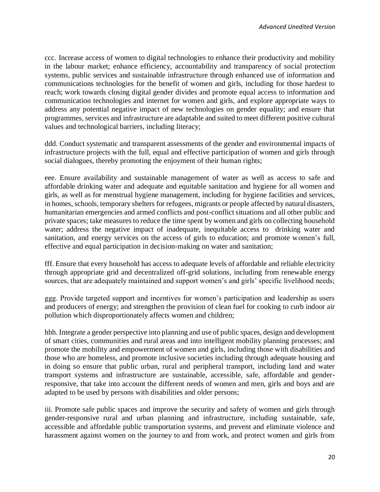ccc. Increase access of women to digital technologies to enhance their productivity and mobility in the labour market; enhance efficiency, accountability and transparency of social protection systems, public services and sustainable infrastructure through enhanced use of information and communications technologies for the benefit of women and girls, including for those hardest to reach; work towards closing digital gender divides and promote equal access to information and communication technologies and internet for women and girls, and explore appropriate ways to address any potential negative impact of new technologies on gender equality; and ensure that programmes, services and infrastructure are adaptable and suited to meet different positive cultural values and technological barriers, including literacy;

ddd. Conduct systematic and transparent assessments of the gender and environmental impacts of infrastructure projects with the full, equal and effective participation of women and girls through social dialogues, thereby promoting the enjoyment of their human rights;

eee. Ensure availability and sustainable management of water as well as access to safe and affordable drinking water and adequate and equitable sanitation and hygiene for all women and girls, as well as for menstrual hygiene management, including for hygiene facilities and services, in homes, schools, temporary shelters for refugees, migrants or people affected by natural disasters, humanitarian emergencies and armed conflicts and post-conflict situations and all other public and private spaces; take measures to reduce the time spent by women and girls on collecting household water; address the negative impact of inadequate, inequitable access to drinking water and sanitation, and energy services on the access of girls to education; and promote women's full, effective and equal participation in decision-making on water and sanitation;

fff. Ensure that every household has access to adequate levels of affordable and reliable electricity through appropriate grid and decentralized off-grid solutions, including from renewable energy sources, that are adequately maintained and support women's and girls' specific livelihood needs;

ggg. Provide targeted support and incentives for women's participation and leadership as users and producers of energy; and strengthen the provision of clean fuel for cooking to curb indoor air pollution which disproportionately affects women and children;

hhh. Integrate a gender perspective into planning and use of public spaces, design and development of smart cities, communities and rural areas and into intelligent mobility planning processes; and promote the mobility and empowerment of women and girls, including those with disabilities and those who are homeless, and promote inclusive societies including through adequate housing and in doing so ensure that public urban, rural and peripheral transport, including land and water transport systems and infrastructure are sustainable, accessible, safe, affordable and genderresponsive, that take into account the different needs of women and men, girls and boys and are adapted to be used by persons with disabilities and older persons;

iii. Promote safe public spaces and improve the security and safety of women and girls through gender-responsive rural and urban planning and infrastructure, including sustainable, safe, accessible and affordable public transportation systems, and prevent and eliminate violence and harassment against women on the journey to and from work, and protect women and girls from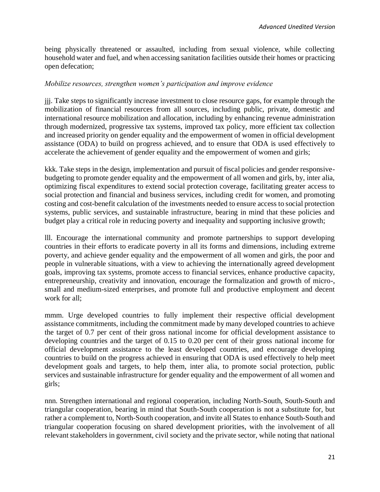being physically threatened or assaulted, including from sexual violence, while collecting household water and fuel, and when accessing sanitation facilities outside their homes or practicing open defecation;

## *Mobilize resources, strengthen women's participation and improve evidence*

jjj. Take steps to significantly increase investment to close resource gaps, for example through the mobilization of financial resources from all sources, including public, private, domestic and international resource mobilization and allocation, including by enhancing revenue administration through modernized, progressive tax systems, improved tax policy, more efficient tax collection and increased priority on gender equality and the empowerment of women in official development assistance (ODA) to build on progress achieved, and to ensure that ODA is used effectively to accelerate the achievement of gender equality and the empowerment of women and girls;

kkk. Take steps in the design, implementation and pursuit of fiscal policies and gender responsivebudgeting to promote gender equality and the empowerment of all women and girls, by, inter alia, optimizing fiscal expenditures to extend social protection coverage, facilitating greater access to social protection and financial and business services, including credit for women, and promoting costing and cost-benefit calculation of the investments needed to ensure access to social protection systems, public services, and sustainable infrastructure, bearing in mind that these policies and budget play a critical role in reducing poverty and inequality and supporting inclusive growth;

lll. Encourage the international community and promote partnerships to support developing countries in their efforts to eradicate poverty in all its forms and dimensions, including extreme poverty, and achieve gender equality and the empowerment of all women and girls, the poor and people in vulnerable situations, with a view to achieving the internationally agreed development goals, improving tax systems, promote access to financial services, enhance productive capacity, entrepreneurship, creativity and innovation, encourage the formalization and growth of micro-, small and medium-sized enterprises, and promote full and productive employment and decent work for all;

mmm. Urge developed countries to fully implement their respective official development assistance commitments, including the commitment made by many developed countries to achieve the target of 0.7 per cent of their gross national income for official development assistance to developing countries and the target of 0.15 to 0.20 per cent of their gross national income for official development assistance to the least developed countries, and encourage developing countries to build on the progress achieved in ensuring that ODA is used effectively to help meet development goals and targets, to help them, inter alia, to promote social protection, public services and sustainable infrastructure for gender equality and the empowerment of all women and girls;

nnn. Strengthen international and regional cooperation, including North-South, South-South and triangular cooperation, bearing in mind that South-South cooperation is not a substitute for, but rather a complement to, North-South cooperation, and invite all States to enhance South-South and triangular cooperation focusing on shared development priorities, with the involvement of all relevant stakeholders in government, civil society and the private sector, while noting that national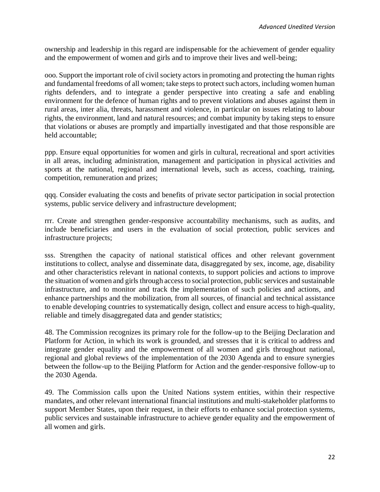ownership and leadership in this regard are indispensable for the achievement of gender equality and the empowerment of women and girls and to improve their lives and well-being;

ooo. Support the important role of civil society actors in promoting and protecting the human rights and fundamental freedoms of all women; take steps to protect such actors, including women human rights defenders, and to integrate a gender perspective into creating a safe and enabling environment for the defence of human rights and to prevent violations and abuses against them in rural areas, inter alia, threats, harassment and violence, in particular on issues relating to labour rights, the environment, land and natural resources; and combat impunity by taking steps to ensure that violations or abuses are promptly and impartially investigated and that those responsible are held accountable;

ppp. Ensure equal opportunities for women and girls in cultural, recreational and sport activities in all areas, including administration, management and participation in physical activities and sports at the national, regional and international levels, such as access, coaching, training, competition, remuneration and prizes;

qqq. Consider evaluating the costs and benefits of private sector participation in social protection systems, public service delivery and infrastructure development;

rrr. Create and strengthen gender-responsive accountability mechanisms, such as audits, and include beneficiaries and users in the evaluation of social protection, public services and infrastructure projects;

sss. Strengthen the capacity of national statistical offices and other relevant government institutions to collect, analyse and disseminate data, disaggregated by sex, income, age, disability and other characteristics relevant in national contexts, to support policies and actions to improve the situation of women and girls through access to social protection, public services and sustainable infrastructure, and to monitor and track the implementation of such policies and actions, and enhance partnerships and the mobilization, from all sources, of financial and technical assistance to enable developing countries to systematically design, collect and ensure access to high-quality, reliable and timely disaggregated data and gender statistics;

48. The Commission recognizes its primary role for the follow-up to the Beijing Declaration and Platform for Action, in which its work is grounded, and stresses that it is critical to address and integrate gender equality and the empowerment of all women and girls throughout national, regional and global reviews of the implementation of the 2030 Agenda and to ensure synergies between the follow-up to the Beijing Platform for Action and the gender-responsive follow-up to the 2030 Agenda.

49. The Commission calls upon the United Nations system entities, within their respective mandates, and other relevant international financial institutions and multi-stakeholder platforms to support Member States, upon their request, in their efforts to enhance social protection systems, public services and sustainable infrastructure to achieve gender equality and the empowerment of all women and girls.